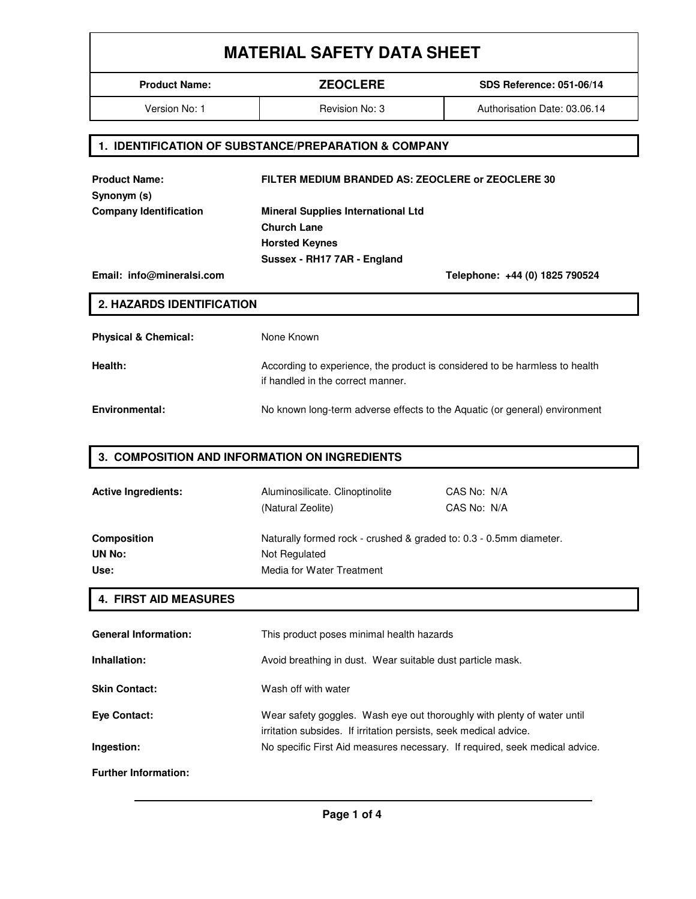# **MATERIAL SAFETY DATA SHEET**

**Product Name: ZEOCLERE SDS Reference: 051-06/14**

Version No: 1 **Revision No: 3** Authorisation Date: 03.06.14

#### **1. IDENTIFICATION OF SUBSTANCE/PREPARATION & COMPANY**

**Product Name: FILTER MEDIUM BRANDED AS: ZEOCLERE or ZEOCLERE 30 Synonym (s) Company Identification Mineral Supplies International Ltd Church Lane Horsted Keynes Sussex - RH17 7AR - England Email: info@mineralsi.com Telephone: +44 (0) 1825 790524 2. HAZARDS IDENTIFICATION Physical & Chemical:** None Known **Health:** According to experience, the product is considered to be harmless to health if handled in the correct manner. **Environmental:** No known long-term adverse effects to the Aquatic (or general) environment

#### **3. COMPOSITION AND INFORMATION ON INGREDIENTS**

| <b>Active Ingredients:</b> | Aluminosilicate. Clinoptinolite<br>(Natural Zeolite)               | CAS No: N/A<br>CAS No: N/A |
|----------------------------|--------------------------------------------------------------------|----------------------------|
| <b>Composition</b>         | Naturally formed rock - crushed & graded to: 0.3 - 0.5mm diameter. |                            |
| UN No:                     | Not Regulated                                                      |                            |
| Use:                       | Media for Water Treatment                                          |                            |

### **4. FIRST AID MEASURES**

| <b>General Information:</b> | This product poses minimal health hazards                                                                                                    |
|-----------------------------|----------------------------------------------------------------------------------------------------------------------------------------------|
| Inhallation:                | Avoid breathing in dust. Wear suitable dust particle mask.                                                                                   |
| <b>Skin Contact:</b>        | Wash off with water                                                                                                                          |
| Eye Contact:                | Wear safety goggles. Wash eye out thoroughly with plenty of water until<br>irritation subsides. If irritation persists, seek medical advice. |
| Ingestion:                  | No specific First Aid measures necessary. If required, seek medical advice.                                                                  |
| <b>Further Information:</b> |                                                                                                                                              |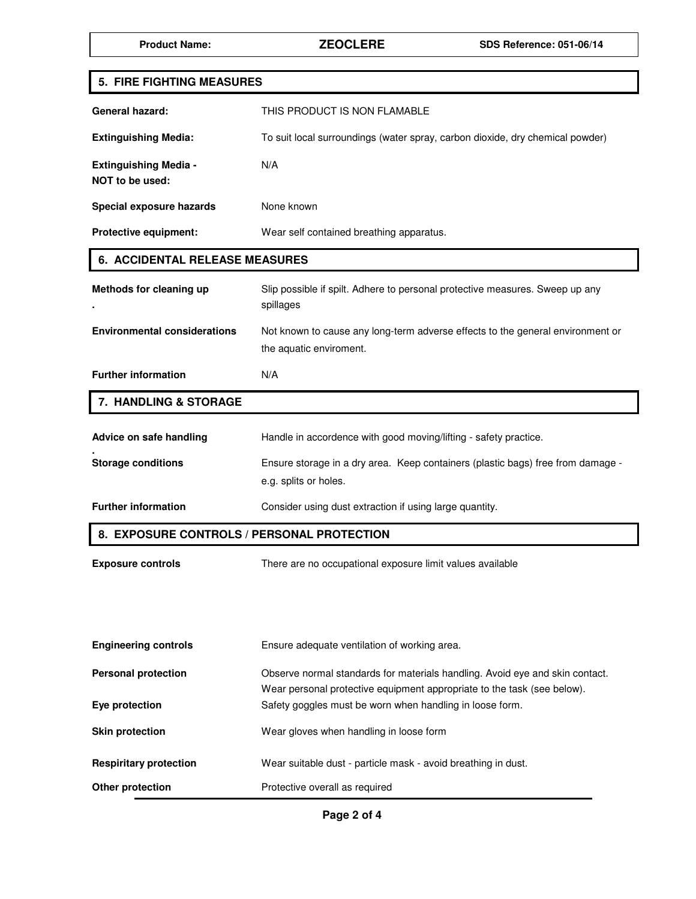| 5. FIRE FIGHTING MEASURES                       |                                                                                                                                     |  |
|-------------------------------------------------|-------------------------------------------------------------------------------------------------------------------------------------|--|
| <b>General hazard:</b>                          | THIS PRODUCT IS NON FLAMABLE                                                                                                        |  |
| <b>Extinguishing Media:</b>                     | To suit local surroundings (water spray, carbon dioxide, dry chemical powder)                                                       |  |
| <b>Extinguishing Media -</b><br>NOT to be used: | N/A                                                                                                                                 |  |
| Special exposure hazards                        | None known                                                                                                                          |  |
| <b>Protective equipment:</b>                    | Wear self contained breathing apparatus.                                                                                            |  |
| <b>6. ACCIDENTAL RELEASE MEASURES</b>           |                                                                                                                                     |  |
| Methods for cleaning up                         | Slip possible if spilt. Adhere to personal protective measures. Sweep up any<br>spillages                                           |  |
| <b>Environmental considerations</b>             | Not known to cause any long-term adverse effects to the general environment or<br>the aquatic enviroment.                           |  |
| <b>Further information</b>                      | N/A                                                                                                                                 |  |
| 7. HANDLING & STORAGE                           |                                                                                                                                     |  |
| Advice on safe handling                         | Handle in accordence with good moving/lifting - safety practice.                                                                    |  |
| <b>Storage conditions</b>                       | Ensure storage in a dry area. Keep containers (plastic bags) free from damage -<br>e.g. splits or holes.                            |  |
| <b>Further information</b>                      | Consider using dust extraction if using large quantity.                                                                             |  |
| 8. EXPOSURE CONTROLS / PERSONAL PROTECTION      |                                                                                                                                     |  |
| <b>Exposure controls</b>                        | There are no occupational exposure limit values available                                                                           |  |
|                                                 |                                                                                                                                     |  |
|                                                 |                                                                                                                                     |  |
| <b>Engineering controls</b>                     | Ensure adequate ventilation of working area.                                                                                        |  |
| <b>Personal protection</b>                      | Observe normal standards for materials handling. Avoid eye and skin contact.                                                        |  |
| Eye protection                                  | Wear personal protective equipment appropriate to the task (see below).<br>Safety goggles must be worn when handling in loose form. |  |
| <b>Skin protection</b>                          | Wear gloves when handling in loose form                                                                                             |  |
| <b>Respiritary protection</b>                   | Wear suitable dust - particle mask - avoid breathing in dust.                                                                       |  |
| Other protection                                | Protective overall as required                                                                                                      |  |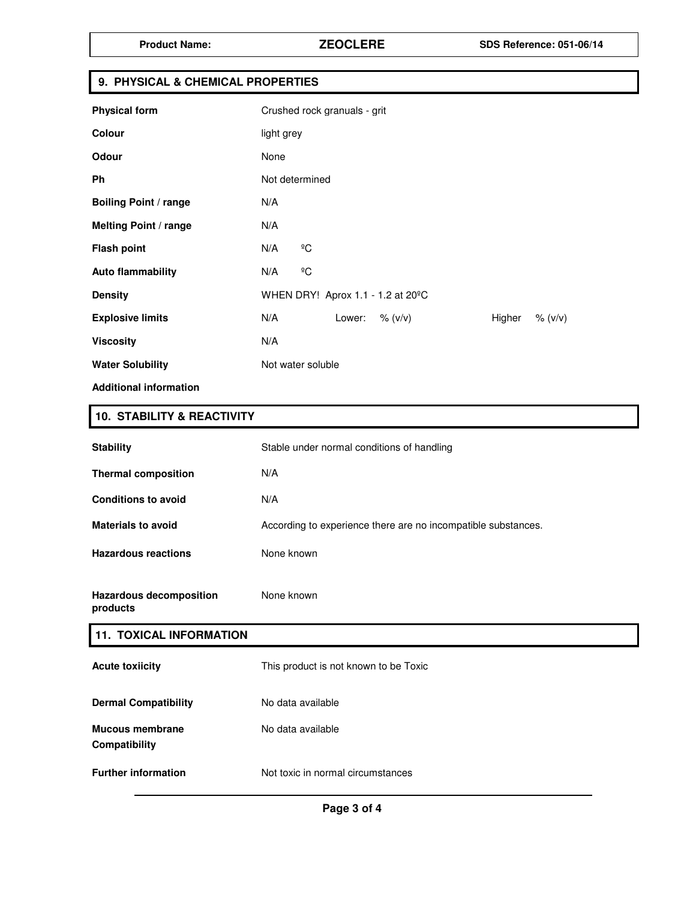### **9. PHYSICAL & CHEMICAL PROPERTIES**

| <b>Physical form</b>          | Crushed rock granuals - grit                        |
|-------------------------------|-----------------------------------------------------|
| Colour                        | light grey                                          |
| Odour                         | None                                                |
| <b>Ph</b>                     | Not determined                                      |
| <b>Boiling Point / range</b>  | N/A                                                 |
| <b>Melting Point / range</b>  | N/A                                                 |
| <b>Flash point</b>            | $\overline{C}$<br>N/A                               |
| <b>Auto flammability</b>      | $\rm ^{o}C$<br>N/A                                  |
| <b>Density</b>                | WHEN DRY! Aprox 1.1 - 1.2 at 20°C                   |
| <b>Explosive limits</b>       | N/A<br>Lower:<br>$\%$ (v/v)<br>Higher<br>$\% (v/v)$ |
| <b>Viscosity</b>              | N/A                                                 |
| <b>Water Solubility</b>       | Not water soluble                                   |
| <b>Additional information</b> |                                                     |

## **10. STABILITY & REACTIVITY**

| <b>Stability</b>                        | Stable under normal conditions of handling                    |
|-----------------------------------------|---------------------------------------------------------------|
| <b>Thermal composition</b>              | N/A                                                           |
| <b>Conditions to avoid</b>              | N/A                                                           |
| <b>Materials to avoid</b>               | According to experience there are no incompatible substances. |
| <b>Hazardous reactions</b>              | None known                                                    |
| <b>Hazardous decomposition</b>          | None known                                                    |
| products                                |                                                               |
| <b>11. TOXICAL INFORMATION</b>          |                                                               |
| <b>Acute toxiicity</b>                  | This product is not known to be Toxic                         |
| <b>Dermal Compatibility</b>             | No data available                                             |
| <b>Mucous membrane</b><br>Compatibility | No data available                                             |